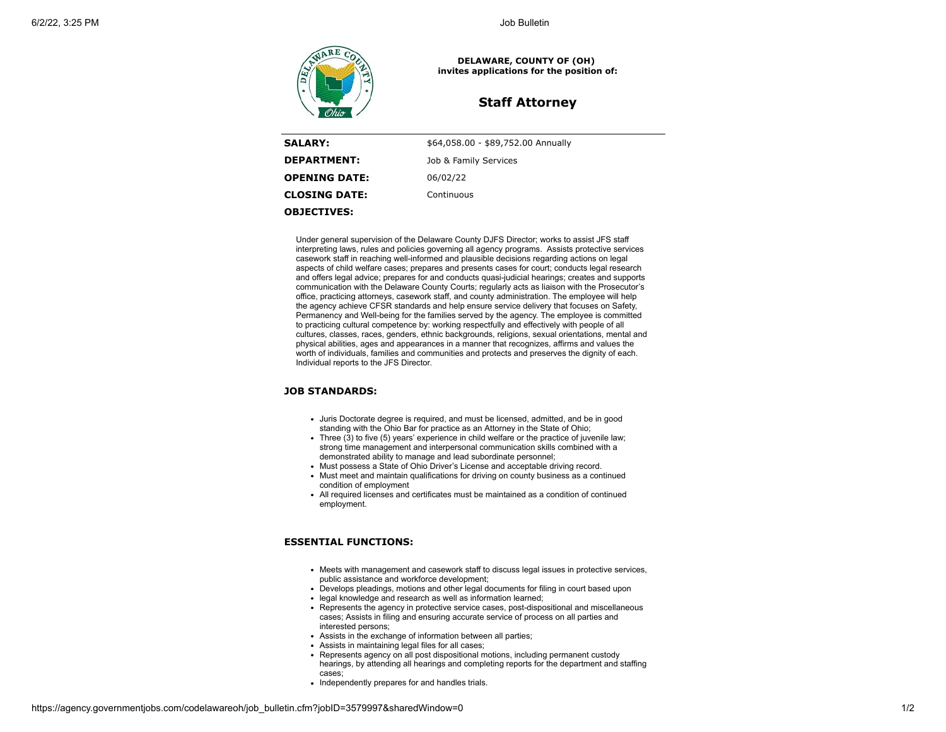

**DELAWARE, COUNTY OF (OH) invites applications for the position of:**

# **Staff Attorney**

| <b>SALARY:</b>       | \$64,058.00 - \$89,752.00 Annually |
|----------------------|------------------------------------|
| <b>DEPARTMENT:</b>   | Job & Family Services              |
| <b>OPENING DATE:</b> | 06/02/22                           |
| <b>CLOSING DATE:</b> | Continuous                         |
| <b>OBJECTIVES:</b>   |                                    |

Under general supervision of the Delaware County DJFS Director; works to assist JFS staff interpreting laws, rules and policies governing all agency programs. Assists protective services casework staff in reaching well-informed and plausible decisions regarding actions on legal aspects of child welfare cases; prepares and presents cases for court; conducts legal research and offers legal advice; prepares for and conducts quasi-judicial hearings; creates and supports communication with the Delaware County Courts; regularly acts as liaison with the Prosecutor's office, practicing attorneys, casework staff, and county administration. The employee will help the agency achieve CFSR standards and help ensure service delivery that focuses on Safety, Permanency and Well-being for the families served by the agency. The employee is committed to practicing cultural competence by: working respectfully and effectively with people of all cultures, classes, races, genders, ethnic backgrounds, religions, sexual orientations, mental and physical abilities, ages and appearances in a manner that recognizes, affirms and values the worth of individuals, families and communities and protects and preserves the dignity of each. Individual reports to the JFS Director.

# **JOB STANDARDS:**

- Juris Doctorate degree is required, and must be licensed, admitted, and be in good standing with the Ohio Bar for practice as an Attorney in the State of Ohio;
- $\bullet$  Three (3) to five (5) years' experience in child welfare or the practice of juvenile law; strong time management and interpersonal communication skills combined with a demonstrated ability to manage and lead subordinate personnel;
- Must possess a State of Ohio Driver's License and acceptable driving record.
- Must meet and maintain qualifications for driving on county business as a continued condition of employment
- All required licenses and certificates must be maintained as a condition of continued employment.

# **ESSENTIAL FUNCTIONS:**

- Meets with management and casework staff to discuss legal issues in protective services, public assistance and workforce development;
- Develops pleadings, motions and other legal documents for filing in court based upon
- legal knowledge and research as well as information learned:
- Represents the agency in protective service cases, post-dispositional and miscellaneous cases; Assists in filing and ensuring accurate service of process on all parties and interested persons;
- Assists in the exchange of information between all parties;
- Assists in maintaining legal files for all cases;
- Represents agency on all post dispositional motions, including permanent custody hearings, by attending all hearings and completing reports for the department and staffing cases;
- Independently prepares for and handles trials.